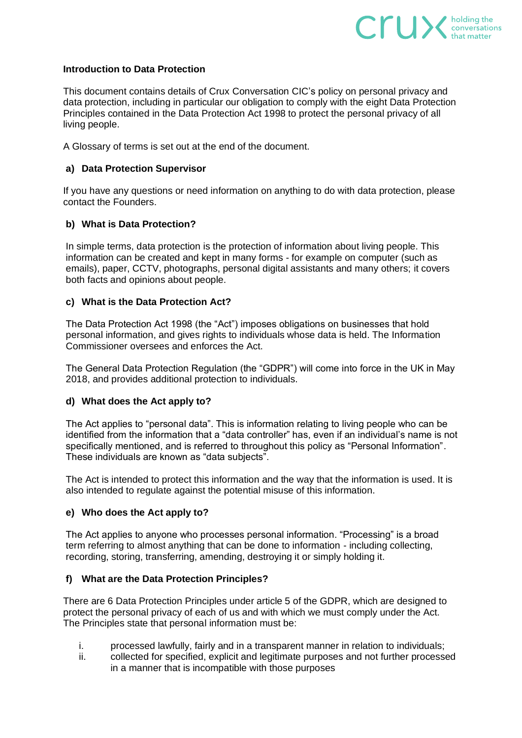

### **Introduction to Data Protection**

This document contains details of Crux Conversation CIC's policy on personal privacy and data protection, including in particular our obligation to comply with the eight Data Protection Principles contained in the Data Protection Act 1998 to protect the personal privacy of all living people.

A Glossary of terms is set out at the end of the document.

### **a) Data Protection Supervisor**

If you have any questions or need information on anything to do with data protection, please contact the Founders.

# **b) What is Data Protection?**

In simple terms, data protection is the protection of information about living people. This information can be created and kept in many forms - for example on computer (such as emails), paper, CCTV, photographs, personal digital assistants and many others; it covers both facts and opinions about people.

### **c) What is the Data Protection Act?**

The Data Protection Act 1998 (the "Act") imposes obligations on businesses that hold personal information, and gives rights to individuals whose data is held. The Information Commissioner oversees and enforces the Act.

The General Data Protection Regulation (the "GDPR") will come into force in the UK in May 2018, and provides additional protection to individuals.

#### **d) What does the Act apply to?**

The Act applies to "personal data". This is information relating to living people who can be identified from the information that a "data controller" has, even if an individual's name is not specifically mentioned, and is referred to throughout this policy as "Personal Information". These individuals are known as "data subjects".

The Act is intended to protect this information and the way that the information is used. It is also intended to regulate against the potential misuse of this information.

### **e) Who does the Act apply to?**

The Act applies to anyone who processes personal information. "Processing" is a broad term referring to almost anything that can be done to information - including collecting, recording, storing, transferring, amending, destroying it or simply holding it.

#### **f) What are the Data Protection Principles?**

There are 6 Data Protection Principles under article 5 of the GDPR, which are designed to protect the personal privacy of each of us and with which we must comply under the Act. The Principles state that personal information must be:

- i. processed lawfully, fairly and in a transparent manner in relation to individuals;
- ii. collected for specified, explicit and legitimate purposes and not further processed in a manner that is incompatible with those purposes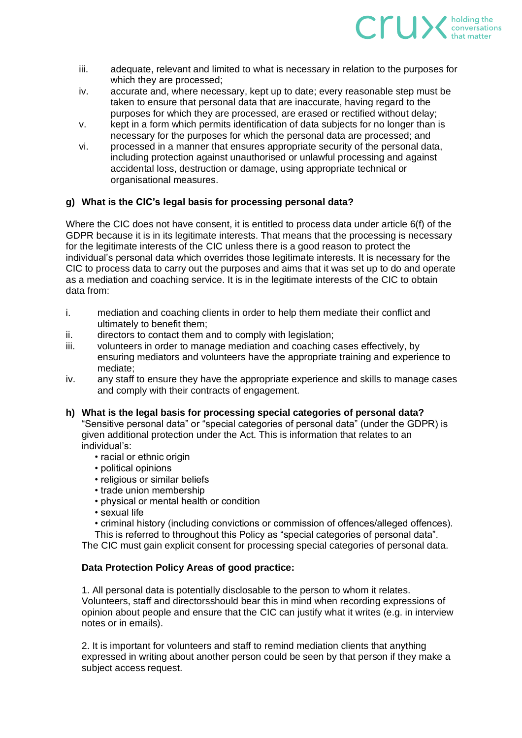

- iii. adequate, relevant and limited to what is necessary in relation to the purposes for which they are processed;
- iv. accurate and, where necessary, kept up to date; every reasonable step must be taken to ensure that personal data that are inaccurate, having regard to the purposes for which they are processed, are erased or rectified without delay;
- v. kept in a form which permits identification of data subjects for no longer than is necessary for the purposes for which the personal data are processed; and
- vi. processed in a manner that ensures appropriate security of the personal data, including protection against unauthorised or unlawful processing and against accidental loss, destruction or damage, using appropriate technical or organisational measures.

# **g) What is the CIC's legal basis for processing personal data?**

Where the CIC does not have consent, it is entitled to process data under article 6(f) of the GDPR because it is in its legitimate interests. That means that the processing is necessary for the legitimate interests of the CIC unless there is a good reason to protect the individual's personal data which overrides those legitimate interests. It is necessary for the CIC to process data to carry out the purposes and aims that it was set up to do and operate as a mediation and coaching service. It is in the legitimate interests of the CIC to obtain data from:

- i. mediation and coaching clients in order to help them mediate their conflict and ultimately to benefit them;
- ii. directors to contact them and to comply with legislation;
- iii. volunteers in order to manage mediation and coaching cases effectively, by ensuring mediators and volunteers have the appropriate training and experience to mediate;
- iv. any staff to ensure they have the appropriate experience and skills to manage cases and comply with their contracts of engagement.
- **h) What is the legal basis for processing special categories of personal data?** "Sensitive personal data" or "special categories of personal data" (under the GDPR) is given additional protection under the Act. This is information that relates to an individual's:
	- racial or ethnic origin
	- political opinions
	- religious or similar beliefs
	- trade union membership
	- physical or mental health or condition
	- sexual life
	- criminal history (including convictions or commission of offences/alleged offences).

This is referred to throughout this Policy as "special categories of personal data".

The CIC must gain explicit consent for processing special categories of personal data.

# **Data Protection Policy Areas of good practice:**

1. All personal data is potentially disclosable to the person to whom it relates. Volunteers, staff and directorsshould bear this in mind when recording expressions of opinion about people and ensure that the CIC can justify what it writes (e.g. in interview notes or in emails).

2. It is important for volunteers and staff to remind mediation clients that anything expressed in writing about another person could be seen by that person if they make a subject access request.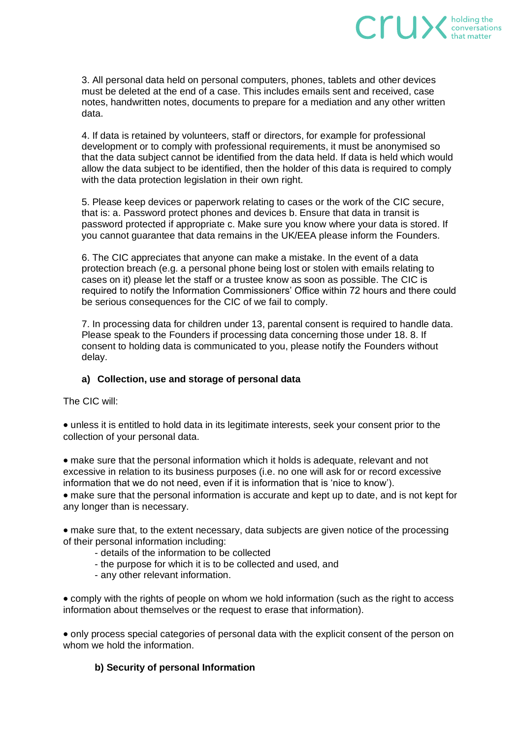

3. All personal data held on personal computers, phones, tablets and other devices must be deleted at the end of a case. This includes emails sent and received, case notes, handwritten notes, documents to prepare for a mediation and any other written data.

4. If data is retained by volunteers, staff or directors, for example for professional development or to comply with professional requirements, it must be anonymised so that the data subject cannot be identified from the data held. If data is held which would allow the data subject to be identified, then the holder of this data is required to comply with the data protection legislation in their own right.

5. Please keep devices or paperwork relating to cases or the work of the CIC secure, that is: a. Password protect phones and devices b. Ensure that data in transit is password protected if appropriate c. Make sure you know where your data is stored. If you cannot guarantee that data remains in the UK/EEA please inform the Founders.

6. The CIC appreciates that anyone can make a mistake. In the event of a data protection breach (e.g. a personal phone being lost or stolen with emails relating to cases on it) please let the staff or a trustee know as soon as possible. The CIC is required to notify the Information Commissioners' Office within 72 hours and there could be serious consequences for the CIC of we fail to comply.

7. In processing data for children under 13, parental consent is required to handle data. Please speak to the Founders if processing data concerning those under 18. 8. If consent to holding data is communicated to you, please notify the Founders without delay.

# **a) Collection, use and storage of personal data**

The CIC will:

• unless it is entitled to hold data in its legitimate interests, seek your consent prior to the collection of your personal data.

• make sure that the personal information which it holds is adequate, relevant and not excessive in relation to its business purposes (i.e. no one will ask for or record excessive information that we do not need, even if it is information that is 'nice to know').

• make sure that the personal information is accurate and kept up to date, and is not kept for any longer than is necessary.

• make sure that, to the extent necessary, data subjects are given notice of the processing of their personal information including:

- details of the information to be collected
- the purpose for which it is to be collected and used, and
- any other relevant information.

• comply with the rights of people on whom we hold information (such as the right to access information about themselves or the request to erase that information).

• only process special categories of personal data with the explicit consent of the person on whom we hold the information.

# **b) Security of personal Information**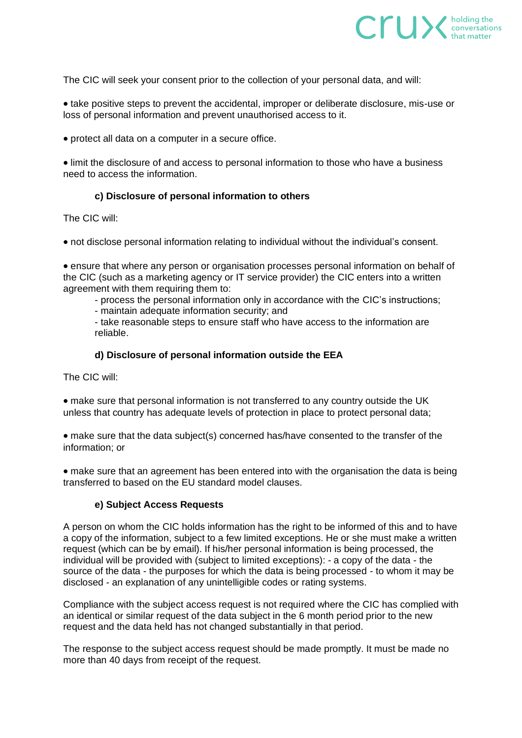

The CIC will seek your consent prior to the collection of your personal data, and will:

• take positive steps to prevent the accidental, improper or deliberate disclosure, mis-use or loss of personal information and prevent unauthorised access to it.

• protect all data on a computer in a secure office.

• limit the disclosure of and access to personal information to those who have a business need to access the information.

# **c) Disclosure of personal information to others**

The CIC will:

• not disclose personal information relating to individual without the individual's consent.

• ensure that where any person or organisation processes personal information on behalf of the CIC (such as a marketing agency or IT service provider) the CIC enters into a written agreement with them requiring them to:

- process the personal information only in accordance with the CIC's instructions;

- maintain adequate information security; and

- take reasonable steps to ensure staff who have access to the information are reliable.

### **d) Disclosure of personal information outside the EEA**

The CIC will:

• make sure that personal information is not transferred to any country outside the UK unless that country has adequate levels of protection in place to protect personal data;

• make sure that the data subject(s) concerned has/have consented to the transfer of the information; or

• make sure that an agreement has been entered into with the organisation the data is being transferred to based on the EU standard model clauses.

# **e) Subject Access Requests**

A person on whom the CIC holds information has the right to be informed of this and to have a copy of the information, subject to a few limited exceptions. He or she must make a written request (which can be by email). If his/her personal information is being processed, the individual will be provided with (subject to limited exceptions): - a copy of the data - the source of the data - the purposes for which the data is being processed - to whom it may be disclosed - an explanation of any unintelligible codes or rating systems.

Compliance with the subject access request is not required where the CIC has complied with an identical or similar request of the data subject in the 6 month period prior to the new request and the data held has not changed substantially in that period.

The response to the subject access request should be made promptly. It must be made no more than 40 days from receipt of the request.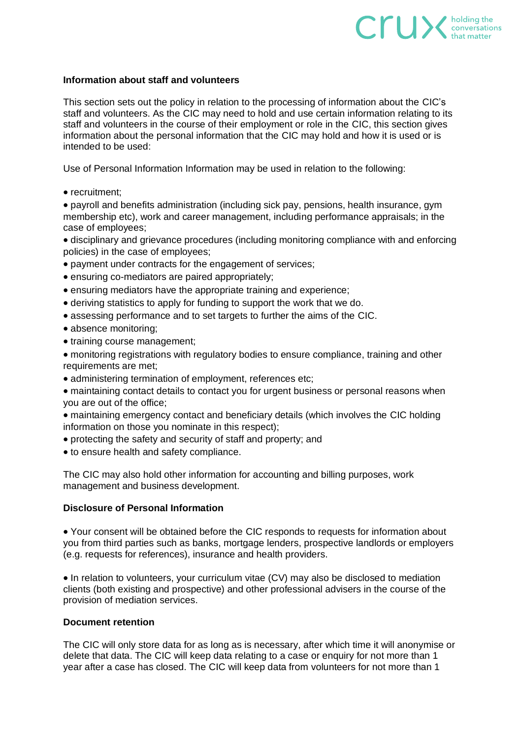# **Information about staff and volunteers**

This section sets out the policy in relation to the processing of information about the CIC's staff and volunteers. As the CIC may need to hold and use certain information relating to its staff and volunteers in the course of their employment or role in the CIC, this section gives information about the personal information that the CIC may hold and how it is used or is intended to be used:

 $C \cap U$   $\searrow$  holding the conversations

Use of Personal Information Information may be used in relation to the following:

• recruitment:

• payroll and benefits administration (including sick pay, pensions, health insurance, gym membership etc), work and career management, including performance appraisals; in the case of employees;

• disciplinary and grievance procedures (including monitoring compliance with and enforcing policies) in the case of employees;

- payment under contracts for the engagement of services;
- ensuring co-mediators are paired appropriately;
- ensuring mediators have the appropriate training and experience;
- deriving statistics to apply for funding to support the work that we do.
- assessing performance and to set targets to further the aims of the CIC.
- absence monitoring;
- training course management;
- monitoring registrations with regulatory bodies to ensure compliance, training and other requirements are met;
- administering termination of employment, references etc;
- maintaining contact details to contact you for urgent business or personal reasons when you are out of the office;
- maintaining emergency contact and beneficiary details (which involves the CIC holding information on those you nominate in this respect);
- protecting the safety and security of staff and property; and
- to ensure health and safety compliance.

The CIC may also hold other information for accounting and billing purposes, work management and business development.

### **Disclosure of Personal Information**

• Your consent will be obtained before the CIC responds to requests for information about you from third parties such as banks, mortgage lenders, prospective landlords or employers (e.g. requests for references), insurance and health providers.

• In relation to volunteers, your curriculum vitae (CV) may also be disclosed to mediation clients (both existing and prospective) and other professional advisers in the course of the provision of mediation services.

#### **Document retention**

The CIC will only store data for as long as is necessary, after which time it will anonymise or delete that data. The CIC will keep data relating to a case or enquiry for not more than 1 year after a case has closed. The CIC will keep data from volunteers for not more than 1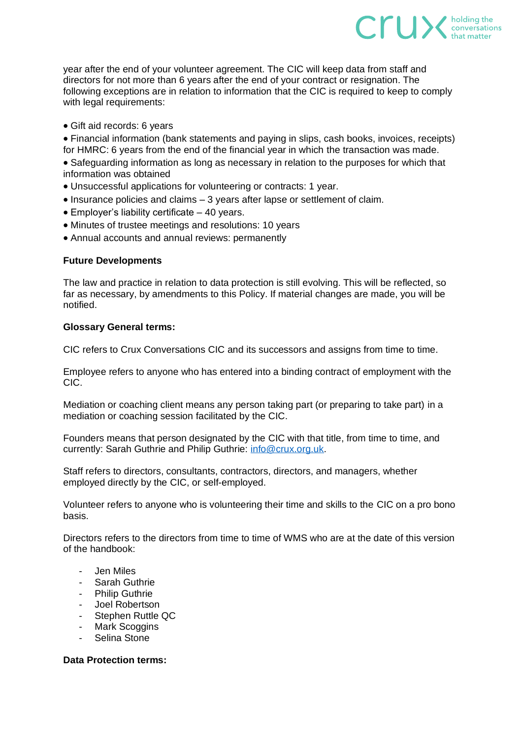year after the end of your volunteer agreement. The CIC will keep data from staff and directors for not more than 6 years after the end of your contract or resignation. The following exceptions are in relation to information that the CIC is required to keep to comply with legal requirements:

 $CTU\times_{\text{that matter}}^{\text{holding the}}$ 

• Gift aid records: 6 years

• Financial information (bank statements and paying in slips, cash books, invoices, receipts) for HMRC: 6 years from the end of the financial year in which the transaction was made.

• Safeguarding information as long as necessary in relation to the purposes for which that information was obtained

- Unsuccessful applications for volunteering or contracts: 1 year.
- Insurance policies and claims 3 years after lapse or settlement of claim.
- Employer's liability certificate 40 years.
- Minutes of trustee meetings and resolutions: 10 years
- Annual accounts and annual reviews: permanently

#### **Future Developments**

The law and practice in relation to data protection is still evolving. This will be reflected, so far as necessary, by amendments to this Policy. If material changes are made, you will be notified.

#### **Glossary General terms:**

CIC refers to Crux Conversations CIC and its successors and assigns from time to time.

Employee refers to anyone who has entered into a binding contract of employment with the CIC.

Mediation or coaching client means any person taking part (or preparing to take part) in a mediation or coaching session facilitated by the CIC.

Founders means that person designated by the CIC with that title, from time to time, and currently: Sarah Guthrie and Philip Guthrie: [info@crux.org.uk.](mailto:info@crux.org.uk)

Staff refers to directors, consultants, contractors, directors, and managers, whether employed directly by the CIC, or self-employed.

Volunteer refers to anyone who is volunteering their time and skills to the CIC on a pro bono basis.

Directors refers to the directors from time to time of WMS who are at the date of this version of the handbook:

- Jen Miles
- Sarah Guthrie
- Philip Guthrie
- Joel Robertson
- Stephen Ruttle QC
- Mark Scoggins
- Selina Stone

#### **Data Protection terms:**